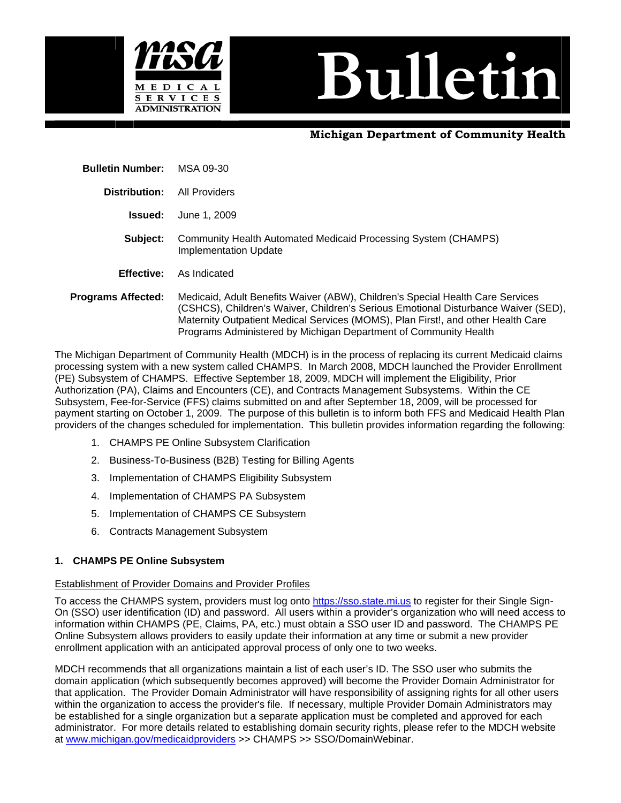

# **Bulletin**

# **Michigan Department of Community Health**

 **Bulletin Number:** MSA 09-30

 **Distribution:** All Providers

**Issued:** June 1, 2009

- **Subject:** Community Health Automated Medicaid Processing System (CHAMPS) Implementation Update
- **Effective:** As Indicated
- **Programs Affected:** Medicaid, Adult Benefits Waiver (ABW), Children's Special Health Care Services (CSHCS), Children's Waiver, Children's Serious Emotional Disturbance Waiver (SED), Maternity Outpatient Medical Services (MOMS), Plan First!, and other Health Care Programs Administered by Michigan Department of Community Health

The Michigan Department of Community Health (MDCH) is in the process of replacing its current Medicaid claims processing system with a new system called CHAMPS. In March 2008, MDCH launched the Provider Enrollment (PE) Subsystem of CHAMPS. Effective September 18, 2009, MDCH will implement the Eligibility, Prior Authorization (PA), Claims and Encounters (CE), and Contracts Management Subsystems. Within the CE Subsystem, Fee-for-Service (FFS) claims submitted on and after September 18, 2009, will be processed for payment starting on October 1, 2009. The purpose of this bulletin is to inform both FFS and Medicaid Health Plan providers of the changes scheduled for implementation. This bulletin provides information regarding the following:

- 1. CHAMPS PE Online Subsystem Clarification
- 2. Business-To-Business (B2B) Testing for Billing Agents
- 3. Implementation of CHAMPS Eligibility Subsystem
- 4. Implementation of CHAMPS PA Subsystem
- 5. Implementation of CHAMPS CE Subsystem
- 6. Contracts Management Subsystem

# **1. CHAMPS PE Online Subsystem**

## Establishment of Provider Domains and Provider Profiles

To access the CHAMPS system, providers must log onto [https://sso.state.mi.us](https://sso.state.mi.us/) to register for their Single Sign-On (SSO) user identification (ID) and password. All users within a provider's organization who will need access to information within CHAMPS (PE, Claims, PA, etc.) must obtain a SSO user ID and password. The CHAMPS PE Online Subsystem allows providers to easily update their information at any time or submit a new provider enrollment application with an anticipated approval process of only one to two weeks.

MDCH recommends that all organizations maintain a list of each user's ID. The SSO user who submits the domain application (which subsequently becomes approved) will become the Provider Domain Administrator for that application. The Provider Domain Administrator will have responsibility of assigning rights for all other users within the organization to access the provider's file. If necessary, multiple Provider Domain Administrators may be established for a single organization but a separate application must be completed and approved for each administrator. For more details related to establishing domain security rights, please refer to the MDCH website at [www.michigan.gov/medicaidproviders](http://www.michigan.gov/medicaidproviders) >> CHAMPS >> SSO/DomainWebinar.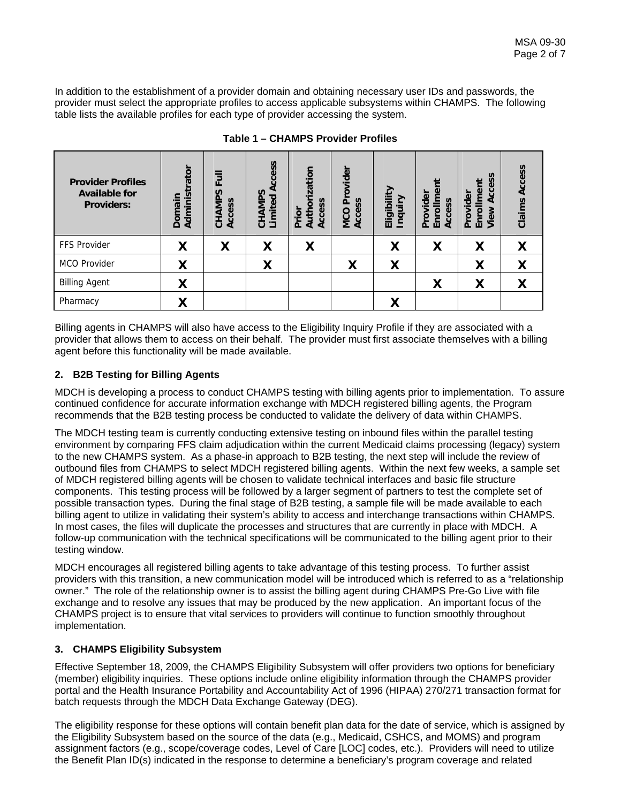In addition to the establishment of a provider domain and obtaining necessary user IDs and passwords, the provider must select the appropriate profiles to access applicable subsystems within CHAMPS. The following table lists the available profiles for each type of provider accessing the system.

| <b>Provider Profiles</b><br><b>Available for</b><br><b>Providers:</b> | rator<br>Administ<br>Domain | $\overline{\mathsf{b}}$<br>LL.<br>S<br>Δ<br>Access<br>CHAMI | Access<br>S<br>CHAMP<br>Limited | ization<br>n<br>ō<br>n<br>Auth<br><b>Acce</b><br>rior<br>ā | Provider<br>$s$ s<br><b>MCO</b><br>Acce | ≧<br>↗<br>Eligibil<br>Inquir | e۹<br>ider<br>SS<br>nro<br>Acce<br>š<br>靣<br>n | S<br>$\omega$<br>ı<br>©<br>≦<br>ider<br>đ<br>Provi<br>Enrol<br>3<br>yie | Access<br>Claims |
|-----------------------------------------------------------------------|-----------------------------|-------------------------------------------------------------|---------------------------------|------------------------------------------------------------|-----------------------------------------|------------------------------|------------------------------------------------|-------------------------------------------------------------------------|------------------|
| <b>FFS Provider</b>                                                   | X                           | X                                                           | X                               | χ                                                          |                                         | X                            | X                                              | X                                                                       | X                |
| MCO Provider                                                          | X                           |                                                             | X                               |                                                            | Χ                                       | Χ                            |                                                | Χ                                                                       | X                |
| <b>Billing Agent</b>                                                  | X                           |                                                             |                                 |                                                            |                                         |                              | χ                                              | X                                                                       | Χ                |
| Pharmacy                                                              |                             |                                                             |                                 |                                                            |                                         |                              |                                                |                                                                         |                  |

**Table 1 – CHAMPS Provider Profiles** 

Billing agents in CHAMPS will also have access to the Eligibility Inquiry Profile if they are associated with a provider that allows them to access on their behalf. The provider must first associate themselves with a billing agent before this functionality will be made available.

# **2. B2B Testing for Billing Agents**

MDCH is developing a process to conduct CHAMPS testing with billing agents prior to implementation. To assure continued confidence for accurate information exchange with MDCH registered billing agents, the Program recommends that the B2B testing process be conducted to validate the delivery of data within CHAMPS.

The MDCH testing team is currently conducting extensive testing on inbound files within the parallel testing environment by comparing FFS claim adjudication within the current Medicaid claims processing (legacy) system to the new CHAMPS system. As a phase-in approach to B2B testing, the next step will include the review of outbound files from CHAMPS to select MDCH registered billing agents. Within the next few weeks, a sample set of MDCH registered billing agents will be chosen to validate technical interfaces and basic file structure components. This testing process will be followed by a larger segment of partners to test the complete set of possible transaction types. During the final stage of B2B testing, a sample file will be made available to each billing agent to utilize in validating their system's ability to access and interchange transactions within CHAMPS. In most cases, the files will duplicate the processes and structures that are currently in place with MDCH. A follow-up communication with the technical specifications will be communicated to the billing agent prior to their testing window.

MDCH encourages all registered billing agents to take advantage of this testing process. To further assist providers with this transition, a new communication model will be introduced which is referred to as a "relationship owner." The role of the relationship owner is to assist the billing agent during CHAMPS Pre-Go Live with file exchange and to resolve any issues that may be produced by the new application. An important focus of the CHAMPS project is to ensure that vital services to providers will continue to function smoothly throughout implementation.

# **3. CHAMPS Eligibility Subsystem**

Effective September 18, 2009, the CHAMPS Eligibility Subsystem will offer providers two options for beneficiary (member) eligibility inquiries. These options include online eligibility information through the CHAMPS provider portal and the Health Insurance Portability and Accountability Act of 1996 (HIPAA) 270/271 transaction format for batch requests through the MDCH Data Exchange Gateway (DEG).

The eligibility response for these options will contain benefit plan data for the date of service, which is assigned by the Eligibility Subsystem based on the source of the data (e.g., Medicaid, CSHCS, and MOMS) and program assignment factors (e.g., scope/coverage codes, Level of Care [LOC] codes, etc.). Providers will need to utilize the Benefit Plan ID(s) indicated in the response to determine a beneficiary's program coverage and related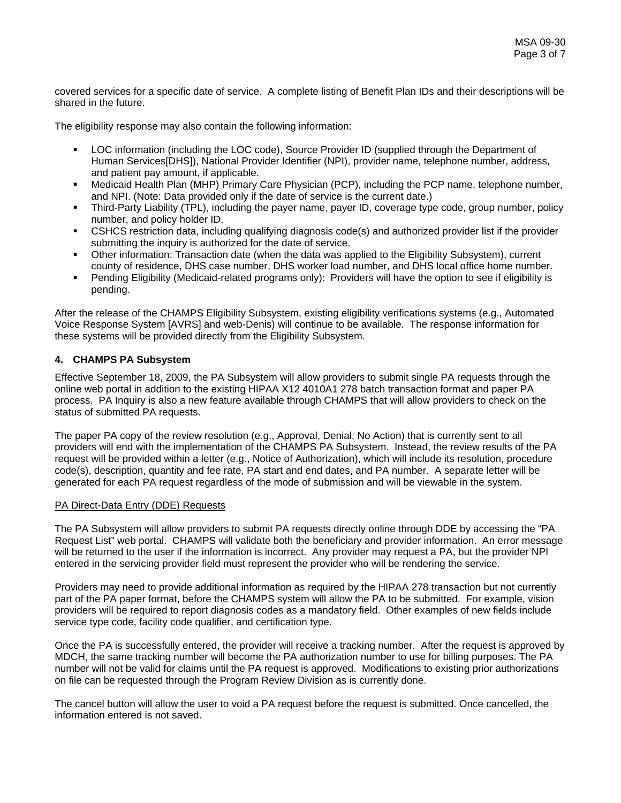covered services for a specific date of service. A complete listing of Benefit Plan IDs and their descriptions will be shared in the future.

The eligibility response may also contain the following information:

- LOC information (including the LOC code), Source Provider ID (supplied through the Department of Human Services[DHS]), National Provider Identifier (NPI), provider name, telephone number, address, and patient pay amount, if applicable.
- Medicaid Health Plan (MHP) Primary Care Physician (PCP), including the PCP name, telephone number, and NPI. (Note: Data provided only if the date of service is the current date.)
- Third-Party Liability (TPL), including the payer name, payer ID, coverage type code, group number, policy number, and policy holder ID.
- CSHCS restriction data, including qualifying diagnosis code(s) and authorized provider list if the provider submitting the inquiry is authorized for the date of service.
- Other information: Transaction date (when the data was applied to the Eligibility Subsystem), current county of residence, DHS case number, DHS worker load number, and DHS local office home number.
- Pending Eligibility (Medicaid-related programs only): Providers will have the option to see if eligibility is pending.

After the release of the CHAMPS Eligibility Subsystem, existing eligibility verifications systems (e.g., Automated Voice Response System [AVRS] and web-Denis) will continue to be available. The response information for these systems will be provided directly from the Eligibility Subsystem.

# **4. CHAMPS PA Subsystem**

Effective September 18, 2009, the PA Subsystem will allow providers to submit single PA requests through the online web portal in addition to the existing HIPAA X12 4010A1 278 batch transaction format and paper PA process. PA Inquiry is also a new feature available through CHAMPS that will allow providers to check on the status of submitted PA requests.

The paper PA copy of the review resolution (e.g., Approval, Denial, No Action) that is currently sent to all providers will end with the implementation of the CHAMPS PA Subsystem. Instead, the review results of the PA request will be provided within a letter (e.g., Notice of Authorization), which will include its resolution, procedure code(s), description, quantity and fee rate, PA start and end dates, and PA number. A separate letter will be generated for each PA request regardless of the mode of submission and will be viewable in the system.

## PA Direct-Data Entry (DDE) Requests

The PA Subsystem will allow providers to submit PA requests directly online through DDE by accessing the "PA Request List" web portal. CHAMPS will validate both the beneficiary and provider information. An error message will be returned to the user if the information is incorrect. Any provider may request a PA, but the provider NPI entered in the servicing provider field must represent the provider who will be rendering the service.

Providers may need to provide additional information as required by the HIPAA 278 transaction but not currently part of the PA paper format, before the CHAMPS system will allow the PA to be submitted. For example, vision providers will be required to report diagnosis codes as a mandatory field. Other examples of new fields include service type code, facility code qualifier, and certification type.

Once the PA is successfully entered, the provider will receive a tracking number. After the request is approved by MDCH, the same tracking number will become the PA authorization number to use for billing purposes. The PA number will not be valid for claims until the PA request is approved. Modifications to existing prior authorizations on file can be requested through the Program Review Division as is currently done.

The cancel button will allow the user to void a PA request before the request is submitted. Once cancelled, the information entered is not saved.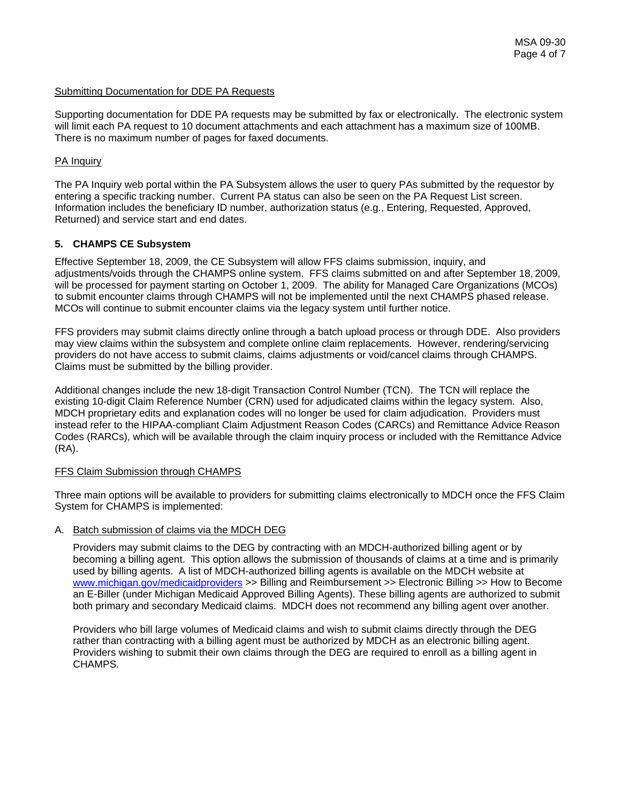## Submitting Documentation for DDE PA Requests

Supporting documentation for DDE PA requests may be submitted by fax or electronically. The electronic system will limit each PA request to 10 document attachments and each attachment has a maximum size of 100MB. There is no maximum number of pages for faxed documents.

# PA Inquiry

The PA Inquiry web portal within the PA Subsystem allows the user to query PAs submitted by the requestor by entering a specific tracking number. Current PA status can also be seen on the PA Request List screen. Information includes the beneficiary ID number, authorization status (e.g., Entering, Requested, Approved, Returned) and service start and end dates.

# **5. CHAMPS CE Subsystem**

Effective September 18, 2009, the CE Subsystem will allow FFS claims submission, inquiry, and adjustments/voids through the CHAMPS online system. FFS claims submitted on and after September 18, 2009, will be processed for payment starting on October 1, 2009. The ability for Managed Care Organizations (MCOs) to submit encounter claims through CHAMPS will not be implemented until the next CHAMPS phased release. MCOs will continue to submit encounter claims via the legacy system until further notice.

FFS providers may submit claims directly online through a batch upload process or through DDE. Also providers may view claims within the subsystem and complete online claim replacements. However, rendering/servicing providers do not have access to submit claims, claims adjustments or void/cancel claims through CHAMPS. Claims must be submitted by the billing provider.

Additional changes include the new 18-digit Transaction Control Number (TCN). The TCN will replace the existing 10-digit Claim Reference Number (CRN) used for adjudicated claims within the legacy system. Also, MDCH proprietary edits and explanation codes will no longer be used for claim adjudication. Providers must instead refer to the HIPAA-compliant Claim Adjustment Reason Codes (CARCs) and Remittance Advice Reason Codes (RARCs), which will be available through the claim inquiry process or included with the Remittance Advice (RA).

# FFS Claim Submission through CHAMPS

Three main options will be available to providers for submitting claims electronically to MDCH once the FFS Claim System for CHAMPS is implemented:

## A. Batch submission of claims via the MDCH DEG

Providers may submit claims to the DEG by contracting with an MDCH-authorized billing agent or by becoming a billing agent. This option allows the submission of thousands of claims at a time and is primarily used by billing agents. A list of MDCH-authorized billing agents is available on the MDCH website at [www.michigan.gov/medicaidproviders](http://www.michigan.gov/medicaidproviders) >> Billing and Reimbursement >> Electronic Billing >> How to Become an E-Biller (under Michigan Medicaid Approved Billing Agents). These billing agents are authorized to submit both primary and secondary Medicaid claims. MDCH does not recommend any billing agent over another.

Providers who bill large volumes of Medicaid claims and wish to submit claims directly through the DEG rather than contracting with a billing agent must be authorized by MDCH as an electronic billing agent. Providers wishing to submit their own claims through the DEG are required to enroll as a billing agent in CHAMPS.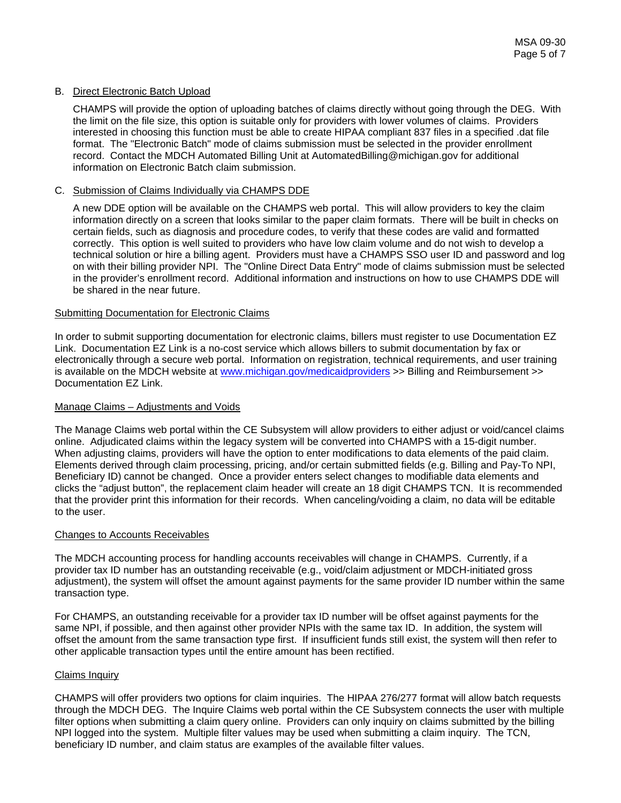## B. Direct Electronic Batch Upload

CHAMPS will provide the option of uploading batches of claims directly without going through the DEG. With the limit on the file size, this option is suitable only for providers with lower volumes of claims. Providers interested in choosing this function must be able to create HIPAA compliant 837 files in a specified .dat file format. The "Electronic Batch" mode of claims submission must be selected in the provider enrollment record. Contact the MDCH Automated Billing Unit at AutomatedBilling@michigan.gov for additional information on Electronic Batch claim submission.

## C. Submission of Claims Individually via CHAMPS DDE

A new DDE option will be available on the CHAMPS web portal. This will allow providers to key the claim information directly on a screen that looks similar to the paper claim formats. There will be built in checks on certain fields, such as diagnosis and procedure codes, to verify that these codes are valid and formatted correctly. This option is well suited to providers who have low claim volume and do not wish to develop a technical solution or hire a billing agent. Providers must have a CHAMPS SSO user ID and password and log on with their billing provider NPI. The "Online Direct Data Entry" mode of claims submission must be selected in the provider's enrollment record. Additional information and instructions on how to use CHAMPS DDE will be shared in the near future.

## Submitting Documentation for Electronic Claims

In order to submit supporting documentation for electronic claims, billers must register to use Documentation EZ Link. Documentation EZ Link is a no-cost service which allows billers to submit documentation by fax or electronically through a secure web portal. Information on registration, technical requirements, and user training is available on the MDCH website at [www.michigan.gov/medicaidproviders](http://www.michigan.gov/medicaidproviders) >> Billing and Reimbursement >> Documentation EZ Link.

## Manage Claims – Adjustments and Voids

The Manage Claims web portal within the CE Subsystem will allow providers to either adjust or void/cancel claims online. Adjudicated claims within the legacy system will be converted into CHAMPS with a 15-digit number. When adjusting claims, providers will have the option to enter modifications to data elements of the paid claim. Elements derived through claim processing, pricing, and/or certain submitted fields (e.g. Billing and Pay-To NPI, Beneficiary ID) cannot be changed. Once a provider enters select changes to modifiable data elements and clicks the "adjust button", the replacement claim header will create an 18 digit CHAMPS TCN. It is recommended that the provider print this information for their records. When canceling/voiding a claim, no data will be editable to the user.

## Changes to Accounts Receivables

The MDCH accounting process for handling accounts receivables will change in CHAMPS. Currently, if a provider tax ID number has an outstanding receivable (e.g., void/claim adjustment or MDCH-initiated gross adjustment), the system will offset the amount against payments for the same provider ID number within the same transaction type.

For CHAMPS, an outstanding receivable for a provider tax ID number will be offset against payments for the same NPI, if possible, and then against other provider NPIs with the same tax ID. In addition, the system will offset the amount from the same transaction type first. If insufficient funds still exist, the system will then refer to other applicable transaction types until the entire amount has been rectified.

# Claims Inquiry

CHAMPS will offer providers two options for claim inquiries. The HIPAA 276/277 format will allow batch requests through the MDCH DEG. The Inquire Claims web portal within the CE Subsystem connects the user with multiple filter options when submitting a claim query online. Providers can only inquiry on claims submitted by the billing NPI logged into the system. Multiple filter values may be used when submitting a claim inquiry. The TCN, beneficiary ID number, and claim status are examples of the available filter values.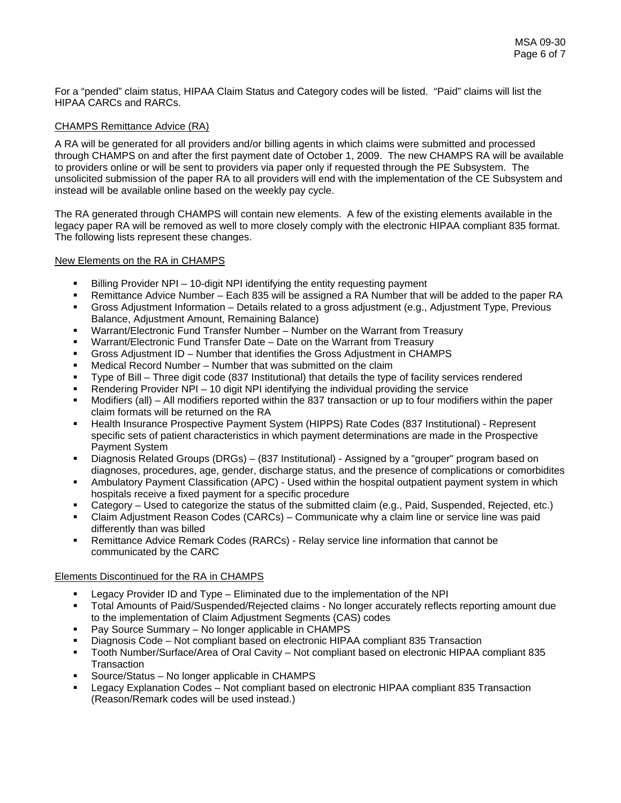For a "pended" claim status, HIPAA Claim Status and Category codes will be listed. "Paid" claims will list the HIPAA CARCs and RARCs.

# CHAMPS Remittance Advice (RA)

A RA will be generated for all providers and/or billing agents in which claims were submitted and processed through CHAMPS on and after the first payment date of October 1, 2009. The new CHAMPS RA will be available to providers online or will be sent to providers via paper only if requested through the PE Subsystem. The unsolicited submission of the paper RA to all providers will end with the implementation of the CE Subsystem and instead will be available online based on the weekly pay cycle.

The RA generated through CHAMPS will contain new elements. A few of the existing elements available in the legacy paper RA will be removed as well to more closely comply with the electronic HIPAA compliant 835 format. The following lists represent these changes.

# New Elements on the RA in CHAMPS

- Billing Provider NPI 10-digit NPI identifying the entity requesting payment
- Remittance Advice Number Each 835 will be assigned a RA Number that will be added to the paper RA Gross Adjustment Information – Details related to a gross adjustment (e.g., Adjustment Type, Previous
- Balance, Adjustment Amount, Remaining Balance)
- Warrant/Electronic Fund Transfer Number Number on the Warrant from Treasury
- Warrant/Electronic Fund Transfer Date Date on the Warrant from Treasury
- Gross Adjustment ID Number that identifies the Gross Adjustment in CHAMPS
- Medical Record Number Number that was submitted on the claim
- Type of Bill Three digit code (837 Institutional) that details the type of facility services rendered
- Rendering Provider NPI 10 digit NPI identifying the individual providing the service
- Modifiers (all) All modifiers reported within the 837 transaction or up to four modifiers within the paper claim formats will be returned on the RA
- Health Insurance Prospective Payment System (HIPPS) Rate Codes (837 Institutional) Represent specific sets of patient characteristics in which payment determinations are made in the Prospective Payment System
- Diagnosis Related Groups (DRGs) (837 Institutional) Assigned by a "grouper" program based on diagnoses, procedures, age, gender, discharge status, and the presence of complications or comorbidites
- Ambulatory Payment Classification (APC) Used within the hospital outpatient payment system in which hospitals receive a fixed payment for a specific procedure
- Category Used to categorize the status of the submitted claim (e.g., Paid, Suspended, Rejected, etc.)
- Claim Adjustment Reason Codes (CARCs) Communicate why a claim line or service line was paid differently than was billed
- Remittance Advice Remark Codes (RARCs) Relay service line information that cannot be communicated by the CARC

# Elements Discontinued for the RA in CHAMPS

- Legacy Provider ID and Type Eliminated due to the implementation of the NPI
- Total Amounts of Paid/Suspended/Rejected claims No longer accurately reflects reporting amount due to the implementation of Claim Adjustment Segments (CAS) codes
- Pay Source Summary No longer applicable in CHAMPS
- Diagnosis Code Not compliant based on electronic HIPAA compliant 835 Transaction
- Tooth Number/Surface/Area of Oral Cavity Not compliant based on electronic HIPAA compliant 835 **Transaction**
- Source/Status No longer applicable in CHAMPS
- Legacy Explanation Codes Not compliant based on electronic HIPAA compliant 835 Transaction (Reason/Remark codes will be used instead.)